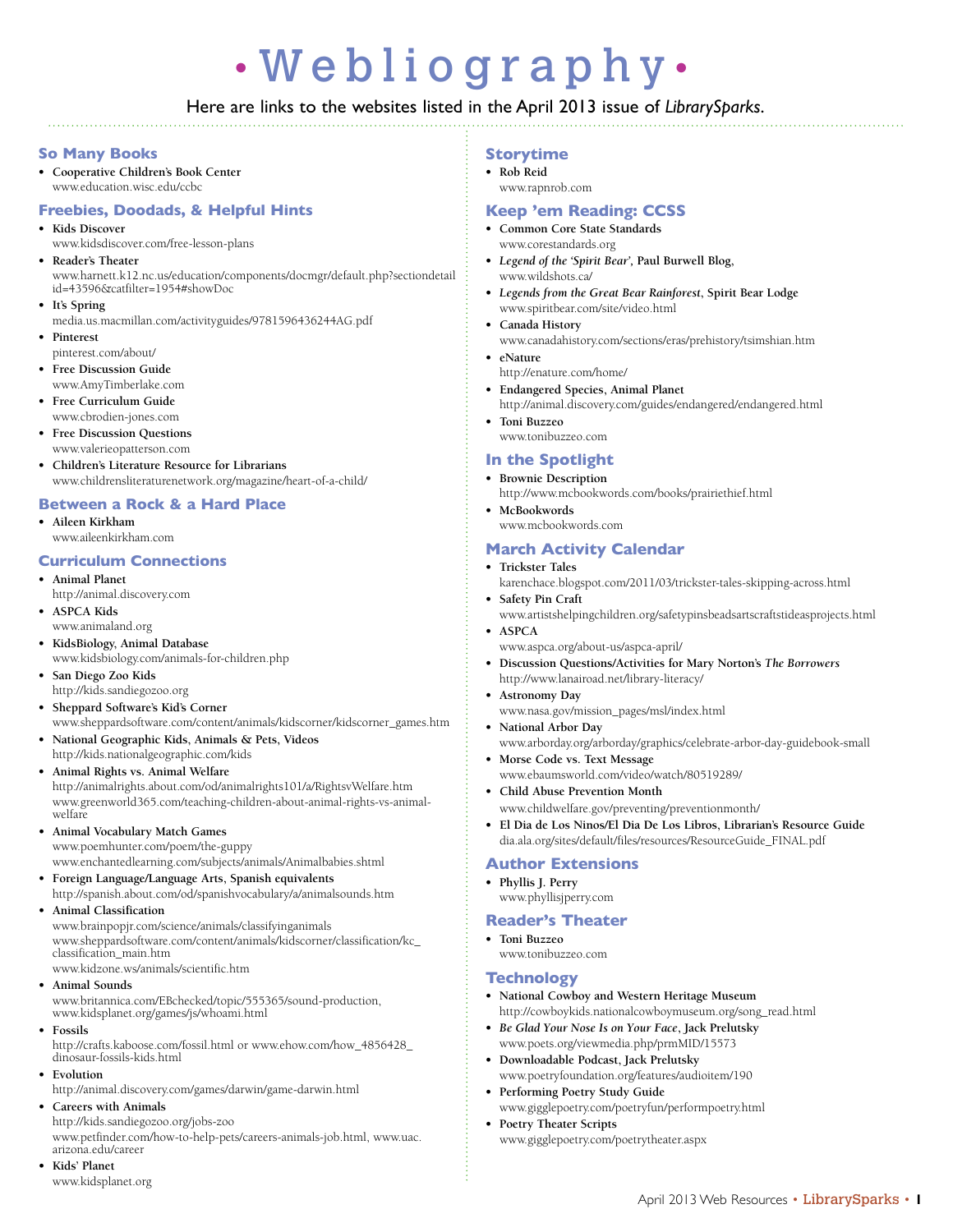# • Webliography •

# Here are links to the websites listed in the April 2013 issue of *LibrarySparks*.

#### **So Many Books**

**• Cooperative Children's Book Center** www.education.wisc.edu/ccbc

#### **Freebies, Doodads, & Helpful Hints**

- **• Kids Discover**
- www.kidsdiscover.com/free-lesson-plans
- **• Reader's Theater** www.harnett.k12.nc.us/education/components/docmgr/default.php?sectiondetail id=43596&catfilter=1954#showDoc
- **• It's Spring**
	- media.us.macmillan.com/activityguides/9781596436244AG.pdf
- **• Pinterest** pinterest.com/about/
- $Free$  *Discussion Guide* www.AmyTimberlake.com
- **• Free Curriculum Guide**
- www.cbrodien-jones.com **• Free Discussion Questions** www.valerieopatterson.com
- **• Children's Literature Resource for Librarians** www.childrensliteraturenetwork.org/magazine/heart-of-a-child/

#### **Between a Rock & a Hard Place**

**• Aileen Kirkham** www.aileenkirkham.com

#### **Curriculum Connections**

- **• Animal Planet**
- http://animal.discovery.com
- **• ASPCA Kids** www.animaland.org
- **• KidsBiology, Animal Database** www.kidsbiology.com/animals-for-children.php
- **• San Diego Zoo Kids** http://kids.sandiegozoo.org
- **• Sheppard Software's Kid's Corner** www.sheppardsoftware.com/content/animals/kidscorner/kidscorner\_games.htm
- **• National Geographic Kids, Animals & Pets, Videos** http://kids.nationalgeographic.com/kids
- **• Animal Rights vs. Animal Welfare**
- http://animalrights.about.com/od/animalrights101/a/RightsvWelfare.htm www.greenworld365.com/teaching-children-about-animal-rights-vs-animalwelfare
- **• Animal Vocabulary Match Games**

www.poemhunter.com/poem/the-guppy www.enchantedlearning.com/subjects/animals/Animalbabies.shtml

- **• Foreign Language/Language Arts, Spanish equivalents** http://spanish.about.com/od/spanishvocabulary/a/animalsounds.htm
- **• Animal Classification**

www.brainpopjr.com/science/animals/classifyinganimals www.sheppardsoftware.com/content/animals/kidscorner/classification/kc\_ classification\_main.htm www.kidzone.ws/animals/scientific.htm

**• Animal Sounds**

www.britannica.com/EBchecked/topic/555365/sound-production, www.kidsplanet.org/games/js/whoami.html

**• Fossils**

http://crafts.kaboose.com/fossil.html or www.ehow.com/how\_4856428\_ dinosaur-fossils-kids.html

#### **• Evolution**

http://animal.discovery.com/games/darwin/game-darwin.html

# **• Careers with Animals**

http://kids.sandiegozoo.org/jobs-zoo

www.petfinder.com/how-to-help-pets/careers-animals-job.html, www.uac. arizona.edu/career

**• Kids' Planet** www.kidsplanet.org

#### **Storytime**

- **• Rob Reid**
- www.rapnrob.com

# **Keep 'em Reading: CCSS**

- **• Common Core State Standards** www.corestandards.org
- *• Legend of the 'Spirit Bear',* **Paul Burwell Blog,** www.wildshots.ca/
- *• Legends from the Great Bear Rainforest***, Spirit Bear Lodge** www.spiritbear.com/site/video.html
- **• Canada History** www.canadahistory.com/sections/eras/prehistory/tsimshian.htm
- **• eNature**
	- http://enature.com/home/
- **• Endangered Species, Animal Planet** http://animal.discovery.com/guides/endangered/endangered.html
- **• Toni Buzzeo** www.tonibuzzeo.com

## **In the Spotlight**

#### **• Brownie Description**

- http://www.mcbookwords.com/books/prairiethief.html
- **• McBookwords**

# www.mcbookwords.com

#### **March Activity Calendar**

- **• Trickster Tales**
- karenchace.blogspot.com/2011/03/trickster-tales-skipping-across.html
- **• Safety Pin Craft**
- www.artistshelpingchildren.org/safetypinsbeadsartscraftstideasprojects.html

#### **• ASPCA**

- www.aspca.org/about-us/aspca-april/
- **• Discussion Questions/Activities for Mary Norton's** *The Borrowers* http://www.lanairoad.net/library-literacy/
- **• Astronomy Day** www.nasa.gov/mission\_pages/msl/index.html
- **• National Arbor Day** www.arborday.org/arborday/graphics/celebrate-arbor-day-guidebook-small **• Morse Code vs. Text Message**
	- www.ebaumsworld.com/video/watch/80519289/
- **• Child Abuse Prevention Month** www.childwelfare.gov/preventing/preventionmonth/
- **• El Dia de Los Ninos/El Dia De Los Libros, Librarian's Resource Guide** dia.ala.org/sites/default/files/resources/ResourceGuide\_FINAL.pdf

#### **Author Extensions**

**• Phyllis J. Perry** www.phyllisjperry.com

# **Reader's Theater**

- **• Toni Buzzeo**
	- www.tonibuzzeo.com

#### **Technology**

- **• National Cowboy and Western Heritage Museum** http://cowboykids.nationalcowboymuseum.org/song\_read.html
- *• Be Glad Your Nose Is on Your Face***, Jack Prelutsky** www.poets.org/viewmedia.php/prmMID/15573
- **• Downloadable Podcast, Jack Prelutsky** www.poetryfoundation.org/features/audioitem/190
- **• Performing Poetry Study Guide** www.gigglepoetry.com/poetryfun/performpoetry.html
- **• Poetry Theater Scripts**  www.gigglepoetry.com/poetrytheater.aspx